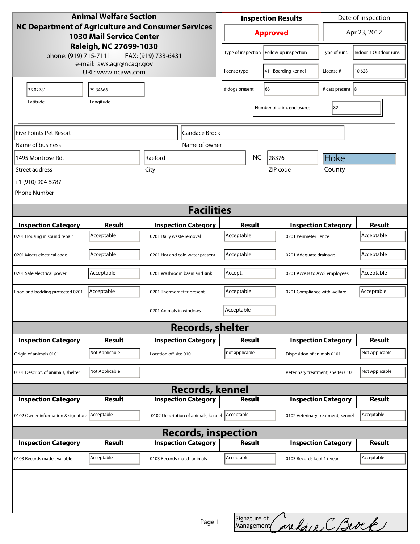| <b>Animal Welfare Section</b><br>NC Department of Agriculture and Consumer Services                       |                |                                                  |                                 | <b>Inspection Results</b>            |  |                            | Date of inspection                 |                       |
|-----------------------------------------------------------------------------------------------------------|----------------|--------------------------------------------------|---------------------------------|--------------------------------------|--|----------------------------|------------------------------------|-----------------------|
| <b>1030 Mail Service Center</b><br>Raleigh, NC 27699-1030<br>phone: (919) 715-7111<br>FAX: (919) 733-6431 |                |                                                  |                                 | <b>Approved</b>                      |  |                            |                                    | Apr 23, 2012          |
|                                                                                                           |                |                                                  |                                 | Type of inspection                   |  | Follow-up inspection       | Type of runs                       | Indoor + Outdoor runs |
| e-mail: aws.agr@ncagr.gov<br>URL: www.ncaws.com                                                           |                |                                                  |                                 | 41 - Boarding kennel<br>license type |  | License #                  | 10,628                             |                       |
| 35.02781                                                                                                  | 79.34666       |                                                  |                                 | 63<br># dogs present                 |  |                            | # cats present 8                   |                       |
| Latitude                                                                                                  | Longitude      |                                                  |                                 |                                      |  | Number of prim. enclosures | 82                                 |                       |
|                                                                                                           |                |                                                  |                                 |                                      |  |                            |                                    |                       |
| Five Points Pet Resort                                                                                    |                |                                                  | <b>Candace Brock</b>            |                                      |  |                            |                                    |                       |
| Name of business                                                                                          |                |                                                  | Name of owner                   |                                      |  |                            |                                    |                       |
| 1495 Montrose Rd.                                                                                         | <b>Raeford</b> |                                                  |                                 | <b>NC</b>                            |  | 28376                      | Hoke                               |                       |
| Street address                                                                                            |                | City                                             |                                 |                                      |  | ZIP code                   | County                             |                       |
| +1 (910) 904-5787                                                                                         |                |                                                  |                                 |                                      |  |                            |                                    |                       |
| <b>Phone Number</b>                                                                                       |                |                                                  |                                 |                                      |  |                            |                                    |                       |
| <b>Facilities</b>                                                                                         |                |                                                  |                                 |                                      |  |                            |                                    |                       |
| <b>Inspection Category</b>                                                                                | <b>Result</b>  |                                                  | <b>Inspection Category</b>      | Result                               |  |                            | <b>Inspection Category</b>         |                       |
| 0201 Housing in sound repair                                                                              | Acceptable     | 0201 Daily waste removal                         |                                 | Acceptable                           |  |                            | 0201 Perimeter Fence               |                       |
| 0201 Meets electrical code                                                                                | Acceptable     |                                                  | 0201 Hot and cold water present | Acceptable                           |  |                            | 0201 Adequate drainage             |                       |
| 0201 Safe electrical power                                                                                | Acceptable     |                                                  | 0201 Washroom basin and sink    | Accept.                              |  |                            | 0201 Access to AWS employees       |                       |
| Food and bedding protected 0201                                                                           | Acceptable     | 0201 Thermometer present                         |                                 | Acceptable                           |  |                            | 0201 Compliance with welfare       |                       |
|                                                                                                           |                | 0201 Animals in windows                          |                                 | Acceptable                           |  |                            |                                    |                       |
|                                                                                                           |                |                                                  | <b>Records, shelter</b>         |                                      |  |                            |                                    |                       |
| <b>Inspection Category</b>                                                                                | Result         |                                                  | <b>Inspection Category</b>      | Result                               |  |                            | <b>Inspection Category</b>         |                       |
| Origin of animals 0101                                                                                    | Not Applicable | Location off-site 0101                           |                                 | not applicable                       |  |                            | Disposition of animals 0101        |                       |
| 0101 Descript. of animals, shelter                                                                        | Not Applicable |                                                  |                                 |                                      |  |                            | Veterinary treatment, shelter 0101 |                       |
| <b>Records, kennel</b>                                                                                    |                |                                                  |                                 |                                      |  |                            |                                    |                       |
| <b>Inspection Category</b>                                                                                | Result         |                                                  | <b>Inspection Category</b>      | <b>Result</b>                        |  |                            | <b>Inspection Category</b>         |                       |
| 0102 Owner information & signature Acceptable                                                             |                | 0102 Description of animals, kennel   Acceptable |                                 |                                      |  |                            | 0102 Veterinary treatment, kennel  |                       |
| <b>Records, inspection</b>                                                                                |                |                                                  |                                 |                                      |  |                            |                                    |                       |
| <b>Inspection Category</b>                                                                                | Result         |                                                  | <b>Inspection Category</b>      | Result                               |  |                            | <b>Inspection Category</b>         | Result                |
| 0103 Records made available                                                                               | Acceptable     | 0103 Records match animals                       |                                 | Acceptable                           |  | 0103 Records kept 1+ year  |                                    | Acceptable            |
|                                                                                                           |                |                                                  |                                 |                                      |  |                            |                                    |                       |
| Signature of welter CBwee<br>Page 1                                                                       |                |                                                  |                                 |                                      |  |                            |                                    |                       |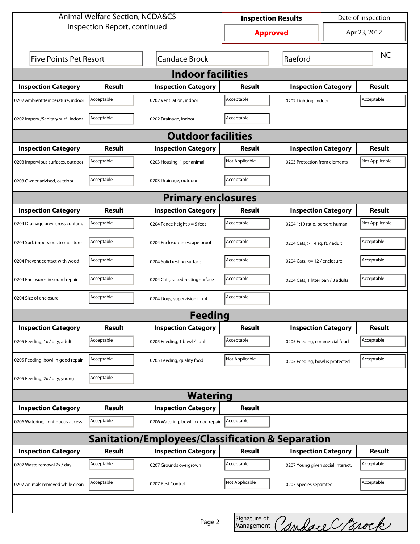| <b>Animal Welfare Section, NCDA&amp;CS</b>                  |                                                           |                                    | Date of inspection<br><b>Inspection Results</b> |                                     |                                    |               |  |  |
|-------------------------------------------------------------|-----------------------------------------------------------|------------------------------------|-------------------------------------------------|-------------------------------------|------------------------------------|---------------|--|--|
| Inspection Report, continued                                |                                                           |                                    | <b>Approved</b>                                 |                                     |                                    | Apr 23, 2012  |  |  |
|                                                             | <b>Candace Brock</b><br><b>Five Points Pet Resort</b>     |                                    |                                                 | Raeford                             |                                    |               |  |  |
| <b>Indoor facilities</b>                                    |                                                           |                                    |                                                 |                                     |                                    |               |  |  |
| <b>Inspection Category</b>                                  | Result                                                    | <b>Inspection Category</b>         | Result                                          | <b>Inspection Category</b>          |                                    | <b>Result</b> |  |  |
| 0202 Ambient temperature, indoor                            | Acceptable                                                | 0202 Ventilation, indoor           | Acceptable                                      | Acceptable<br>0202 Lighting, indoor |                                    |               |  |  |
| 0202 Imperv./Sanitary surf., indoor                         | Acceptable                                                | 0202 Drainage, indoor              | Acceptable                                      |                                     |                                    |               |  |  |
| <b>Outdoor facilities</b>                                   |                                                           |                                    |                                                 |                                     |                                    |               |  |  |
| <b>Inspection Category</b>                                  | Result                                                    | <b>Inspection Category</b>         | Result                                          | <b>Inspection Category</b>          |                                    | Result        |  |  |
| 0203 Impervious surfaces, outdoor                           | Acceptable                                                | 0203 Housing, 1 per animal         | Not Applicable                                  |                                     | 0203 Protection from elements      |               |  |  |
| 0203 Owner advised, outdoor                                 | Acceptable                                                | 0203 Drainage, outdoor             | Acceptable                                      |                                     |                                    |               |  |  |
| <b>Primary enclosures</b>                                   |                                                           |                                    |                                                 |                                     |                                    |               |  |  |
| <b>Inspection Category</b>                                  | Result                                                    | <b>Inspection Category</b>         | Result                                          | <b>Inspection Category</b>          |                                    | Result        |  |  |
| 0204 Drainage prev. cross contam.                           | Acceptable                                                | 0204 Fence height >= 5 feet        | Acceptable                                      |                                     | 0204 1:10 ratio, person: human     |               |  |  |
| 0204 Surf. impervious to moisture                           | Acceptable                                                | 0204 Enclosure is escape proof     | Acceptable                                      |                                     | 0204 Cats, $>=$ 4 sq. ft. / adult  |               |  |  |
| 0204 Prevent contact with wood                              | Acceptable                                                | 0204 Solid resting surface         | Acceptable                                      |                                     | 0204 Cats, $<= 12$ / enclosure     |               |  |  |
| 0204 Enclosures in sound repair                             | Acceptable                                                | 0204 Cats, raised resting surface  | Acceptable                                      |                                     | 0204 Cats, 1 litter pan / 3 adults |               |  |  |
| 0204 Size of enclosure                                      | Acceptable<br>Acceptable<br>0204 Dogs, supervision if > 4 |                                    |                                                 |                                     |                                    |               |  |  |
|                                                             |                                                           | <b>Feeding</b>                     |                                                 |                                     |                                    |               |  |  |
| <b>Inspection Category</b>                                  | <b>Result</b>                                             | <b>Inspection Category</b>         | <b>Result</b>                                   | <b>Inspection Category</b>          |                                    | <b>Result</b> |  |  |
| 0205 Feeding, 1x / day, adult                               | Acceptable                                                | 0205 Feeding, 1 bowl / adult       | Acceptable                                      | 0205 Feeding, commercial food       |                                    | Acceptable    |  |  |
| 0205 Feeding, bowl in good repair                           | Acceptable                                                | 0205 Feeding, quality food         | Not Applicable                                  | 0205 Feeding, bowl is protected     |                                    | Acceptable    |  |  |
| 0205 Feeding, 2x / day, young                               | Acceptable                                                |                                    |                                                 |                                     |                                    |               |  |  |
| <b>Watering</b>                                             |                                                           |                                    |                                                 |                                     |                                    |               |  |  |
| <b>Inspection Category</b>                                  | <b>Result</b>                                             | <b>Inspection Category</b>         | <b>Result</b>                                   |                                     |                                    |               |  |  |
| 0206 Watering, continuous access                            | Acceptable                                                | 0206 Watering, bowl in good repair | Acceptable                                      |                                     |                                    |               |  |  |
| <b>Sanitation/Employees/Classification &amp; Separation</b> |                                                           |                                    |                                                 |                                     |                                    |               |  |  |
| <b>Inspection Category</b>                                  | <b>Result</b>                                             | <b>Inspection Category</b>         | <b>Result</b>                                   | <b>Inspection Category</b>          |                                    | <b>Result</b> |  |  |
| 0207 Waste removal 2x / day                                 | Acceptable                                                | 0207 Grounds overgrown             | Acceptable                                      | 0207 Young given social interact.   |                                    | Acceptable    |  |  |
| 0207 Animals removed while clean                            | Acceptable                                                | 0207 Pest Control                  | Not Applicable                                  | 0207 Species separated              |                                    | Acceptable    |  |  |
|                                                             |                                                           |                                    |                                                 |                                     |                                    |               |  |  |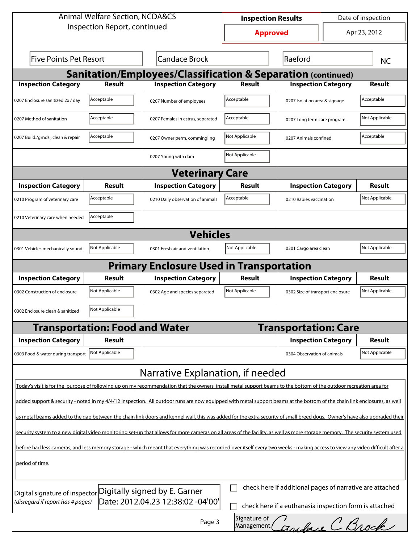| <b>Animal Welfare Section, NCDA&amp;CS</b>                                                                                                                                   |                                       |                                                                                                                                                                    | <b>Inspection Results</b> |                                  |                            | Date of inspection |  |  |
|------------------------------------------------------------------------------------------------------------------------------------------------------------------------------|---------------------------------------|--------------------------------------------------------------------------------------------------------------------------------------------------------------------|---------------------------|----------------------------------|----------------------------|--------------------|--|--|
| Inspection Report, continued                                                                                                                                                 |                                       | <b>Approved</b>                                                                                                                                                    |                           | Apr 23, 2012                     |                            |                    |  |  |
| <b>Five Points Pet Resort</b><br><b>Candace Brock</b>                                                                                                                        |                                       |                                                                                                                                                                    | Raeford                   |                                  |                            | <b>NC</b>          |  |  |
|                                                                                                                                                                              |                                       | <b>Sanitation/Employees/Classification &amp; Separation (continued)</b>                                                                                            |                           |                                  |                            |                    |  |  |
| <b>Inspection Category</b>                                                                                                                                                   | <b>Result</b>                         | <b>Inspection Category</b>                                                                                                                                         | Result                    | <b>Inspection Category</b>       |                            | <b>Result</b>      |  |  |
| 0207 Enclosure sanitized 2x / day                                                                                                                                            | Acceptable                            | 0207 Number of employees                                                                                                                                           | Acceptable                | 0207 Isolation area & signage    |                            | Acceptable         |  |  |
| 0207 Method of sanitation                                                                                                                                                    | Acceptable                            | 0207 Females in estrus, separated                                                                                                                                  | Acceptable                | 0207 Long term care program      |                            | Not Applicable     |  |  |
| 0207 Build./grnds., clean & repair                                                                                                                                           | Acceptable                            | 0207 Owner perm, commingling                                                                                                                                       | Not Applicable            | 0207 Animals confined            |                            | Acceptable         |  |  |
|                                                                                                                                                                              |                                       | 0207 Young with dam                                                                                                                                                | Not Applicable            |                                  |                            |                    |  |  |
|                                                                                                                                                                              |                                       | <b>Veterinary Care</b>                                                                                                                                             |                           |                                  |                            |                    |  |  |
| <b>Inspection Category</b>                                                                                                                                                   | Result                                | <b>Inspection Category</b>                                                                                                                                         | Result                    |                                  | <b>Inspection Category</b> | Result             |  |  |
| 0210 Program of veterinary care                                                                                                                                              | Acceptable                            | 0210 Daily observation of animals                                                                                                                                  | Acceptable                | 0210 Rabies vaccination          |                            | Not Applicable     |  |  |
| 0210 Veterinary care when needed                                                                                                                                             | Acceptable                            |                                                                                                                                                                    |                           |                                  |                            |                    |  |  |
| <b>Vehicles</b>                                                                                                                                                              |                                       |                                                                                                                                                                    |                           |                                  |                            |                    |  |  |
| 0301 Vehicles mechanically sound                                                                                                                                             | Not Applicable                        | 0301 Fresh air and ventilation                                                                                                                                     | Not Applicable            | 0301 Cargo area clean            |                            | Not Applicable     |  |  |
|                                                                                                                                                                              |                                       | <b>Primary Enclosure Used in Transportation</b>                                                                                                                    |                           |                                  |                            |                    |  |  |
| <b>Inspection Category</b>                                                                                                                                                   | Result                                | <b>Inspection Category</b>                                                                                                                                         | Result                    | <b>Inspection Category</b>       |                            | Result             |  |  |
| 0302 Construction of enclosure                                                                                                                                               | Not Applicable                        | 0302 Age and species separated                                                                                                                                     | Not Applicable            | 0302 Size of transport enclosure |                            | Not Applicable     |  |  |
| 0302 Enclosure clean & sanitized                                                                                                                                             | Not Applicable                        |                                                                                                                                                                    |                           |                                  |                            |                    |  |  |
|                                                                                                                                                                              | <b>Transportation: Food and Water</b> |                                                                                                                                                                    |                           | <b>Transportation: Care</b>      |                            |                    |  |  |
| <b>Inspection Category</b>                                                                                                                                                   | <b>Result</b>                         |                                                                                                                                                                    |                           | <b>Inspection Category</b>       |                            | <b>Result</b>      |  |  |
| 0303 Food & water during transport                                                                                                                                           | Not Applicable                        |                                                                                                                                                                    |                           | 0304 Observation of animals      |                            | Not Applicable     |  |  |
|                                                                                                                                                                              |                                       | Narrative Explanation, if needed                                                                                                                                   |                           |                                  |                            |                    |  |  |
|                                                                                                                                                                              |                                       | Today's visit is for the purpose of following up on my recommendation that the owners install metal support beams to the bottom of the outdoor recreation area for |                           |                                  |                            |                    |  |  |
| added support & security - noted in my 4/4/12 inspection. All outdoor runs are now equipped with metal support beams at the bottom of the chain link enclosures, as well     |                                       |                                                                                                                                                                    |                           |                                  |                            |                    |  |  |
| as metal beams added to the gap between the chain link doors and kennel wall, this was added for the extra security of small breed dogs. Owner's have also upgraded their    |                                       |                                                                                                                                                                    |                           |                                  |                            |                    |  |  |
| security system to a new digital video monitoring set-up that allows for more cameras on all areas of the facility, as well as more storage memory. The security system used |                                       |                                                                                                                                                                    |                           |                                  |                            |                    |  |  |
| before had less cameras, and less memory storage - which meant that everything was recorded over itself every two weeks - making access to view any video difficult after a  |                                       |                                                                                                                                                                    |                           |                                  |                            |                    |  |  |
| period of time.                                                                                                                                                              |                                       |                                                                                                                                                                    |                           |                                  |                            |                    |  |  |
| check here if additional pages of narrative are attached<br>Digitally signed by E. Garner<br>Digital signature of inspector                                                  |                                       |                                                                                                                                                                    |                           |                                  |                            |                    |  |  |
| Date: 2012.04.23 12:38:02 -04'00'<br>(disregard if report has 4 pages)<br>check here if a euthanasia inspection form is attached                                             |                                       |                                                                                                                                                                    |                           |                                  |                            |                    |  |  |
|                                                                                                                                                                              |                                       | Page 3                                                                                                                                                             | Signature of              | Management Caniforce C Brock     |                            |                    |  |  |